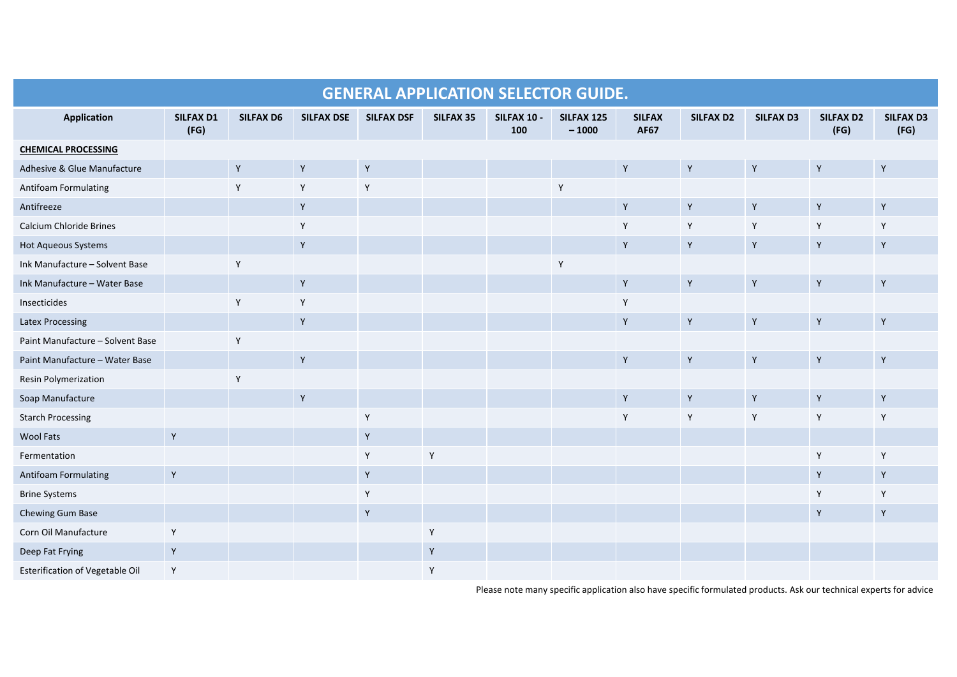| <b>GENERAL APPLICATION SELECTOR GUIDE.</b> |                          |                  |                   |                   |           |                    |                       |                              |             |                  |                          |                          |
|--------------------------------------------|--------------------------|------------------|-------------------|-------------------|-----------|--------------------|-----------------------|------------------------------|-------------|------------------|--------------------------|--------------------------|
| <b>Application</b>                         | <b>SILFAX D1</b><br>(FG) | <b>SILFAX D6</b> | <b>SILFAX DSE</b> | <b>SILFAX DSF</b> | SILFAX 35 | SILFAX 10 -<br>100 | SILFAX 125<br>$-1000$ | <b>SILFAX</b><br><b>AF67</b> | SILFAX D2   | <b>SILFAX D3</b> | <b>SILFAX D2</b><br>(FG) | <b>SILFAX D3</b><br>(FG) |
| <b>CHEMICAL PROCESSING</b>                 |                          |                  |                   |                   |           |                    |                       |                              |             |                  |                          |                          |
| Adhesive & Glue Manufacture                |                          | $\mathsf Y$      | $\mathsf Y$       | $\mathsf{Y}$      |           |                    |                       | $\mathsf{Y}$                 | $\mathsf Y$ | Y                | $\mathsf Y$              | $\mathsf Y$              |
| Antifoam Formulating                       |                          | Y                | Y                 | Y                 |           |                    | Y                     |                              |             |                  |                          |                          |
| Antifreeze                                 |                          |                  | $\mathsf Y$       |                   |           |                    |                       | $\mathsf Y$                  | $\mathsf Y$ | $\mathsf{Y}$     | $\mathsf Y$              | $\mathsf Y$              |
| Calcium Chloride Brines                    |                          |                  | Y                 |                   |           |                    |                       | Y                            | Y           | Y                | Y                        | Y                        |
| <b>Hot Aqueous Systems</b>                 |                          |                  | $\mathsf Y$       |                   |           |                    |                       | Y                            | Y           | Y                | Y                        | Y                        |
| Ink Manufacture - Solvent Base             |                          | Υ                |                   |                   |           |                    | Y                     |                              |             |                  |                          |                          |
| Ink Manufacture - Water Base               |                          |                  | $\mathsf Y$       |                   |           |                    |                       | $\mathsf Y$                  | Y           | Y                | $\mathsf Y$              | $\mathsf Y$              |
| Insecticides                               |                          | Y                | Y                 |                   |           |                    |                       | Y                            |             |                  |                          |                          |
| <b>Latex Processing</b>                    |                          |                  | $\mathsf Y$       |                   |           |                    |                       | Y                            | Y           | Y                | $\mathsf Y$              | Y                        |
| Paint Manufacture - Solvent Base           |                          | $\mathsf Y$      |                   |                   |           |                    |                       |                              |             |                  |                          |                          |
| Paint Manufacture - Water Base             |                          |                  | $\mathsf Y$       |                   |           |                    |                       | Y                            | Y           | Y                | Y                        | Y                        |
| Resin Polymerization                       |                          | Y                |                   |                   |           |                    |                       |                              |             |                  |                          |                          |
| Soap Manufacture                           |                          |                  | $\mathsf Y$       |                   |           |                    |                       | $\mathsf Y$                  | $\mathsf Y$ | Y                | $\mathsf Y$              | Y                        |
| <b>Starch Processing</b>                   |                          |                  |                   | Y                 |           |                    |                       | Y                            | Y           | Y                | Y                        | Y                        |
| <b>Wool Fats</b>                           | $\mathsf{Y}$             |                  |                   | $\mathsf Y$       |           |                    |                       |                              |             |                  |                          |                          |
| Fermentation                               |                          |                  |                   | Y                 | Y         |                    |                       |                              |             |                  | Y                        | Y                        |
| <b>Antifoam Formulating</b>                | $\mathsf{Y}$             |                  |                   | $\mathsf Y$       |           |                    |                       |                              |             |                  | $\mathsf Y$              | Y                        |
| <b>Brine Systems</b>                       |                          |                  |                   | Y                 |           |                    |                       |                              |             |                  | Y                        | Y                        |
| Chewing Gum Base                           |                          |                  |                   | $\mathsf Y$       |           |                    |                       |                              |             |                  | $\mathsf Y$              | $\mathsf Y$              |
| Corn Oil Manufacture                       | Y                        |                  |                   |                   | Y         |                    |                       |                              |             |                  |                          |                          |
| Deep Fat Frying                            | Y                        |                  |                   |                   | Y         |                    |                       |                              |             |                  |                          |                          |
| Esterification of Vegetable Oil            | Y                        |                  |                   |                   | Y         |                    |                       |                              |             |                  |                          |                          |

Please note many specific application also have specific formulated products. Ask our technical experts for advice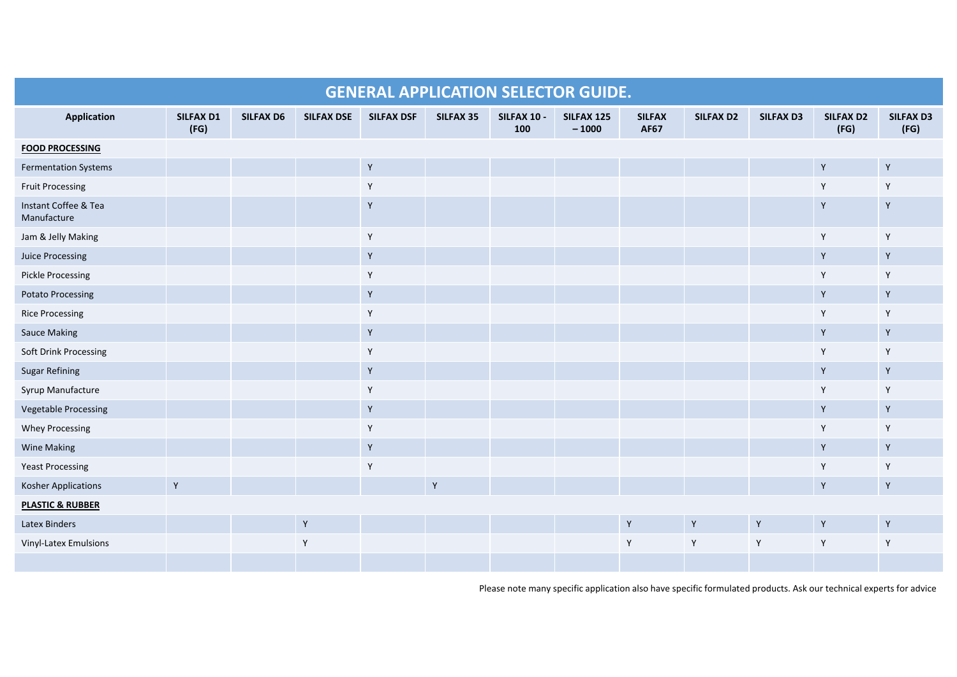| <b>GENERAL APPLICATION SELECTOR GUIDE.</b> |                          |                  |                   |                   |           |                    |                       |                              |                  |                  |                          |                          |
|--------------------------------------------|--------------------------|------------------|-------------------|-------------------|-----------|--------------------|-----------------------|------------------------------|------------------|------------------|--------------------------|--------------------------|
| <b>Application</b>                         | <b>SILFAX D1</b><br>(FG) | <b>SILFAX D6</b> | <b>SILFAX DSE</b> | <b>SILFAX DSF</b> | SILFAX 35 | SILFAX 10 -<br>100 | SILFAX 125<br>$-1000$ | <b>SILFAX</b><br><b>AF67</b> | <b>SILFAX D2</b> | <b>SILFAX D3</b> | <b>SILFAX D2</b><br>(FG) | <b>SILFAX D3</b><br>(FG) |
| <b>FOOD PROCESSING</b>                     |                          |                  |                   |                   |           |                    |                       |                              |                  |                  |                          |                          |
| <b>Fermentation Systems</b>                |                          |                  |                   | $\mathsf Y$       |           |                    |                       |                              |                  |                  | $\mathsf Y$              | $\mathsf Y$              |
| <b>Fruit Processing</b>                    |                          |                  |                   | Y                 |           |                    |                       |                              |                  |                  | Y                        | Y                        |
| Instant Coffee & Tea<br>Manufacture        |                          |                  |                   | $\mathsf Y$       |           |                    |                       |                              |                  |                  | Y                        | $\mathsf Y$              |
| Jam & Jelly Making                         |                          |                  |                   | $\mathsf{Y}$      |           |                    |                       |                              |                  |                  | Y                        | Y                        |
| Juice Processing                           |                          |                  |                   | $\mathsf Y$       |           |                    |                       |                              |                  |                  | Y                        | Y                        |
| <b>Pickle Processing</b>                   |                          |                  |                   | Y                 |           |                    |                       |                              |                  |                  | Y                        | Y                        |
| <b>Potato Processing</b>                   |                          |                  |                   | Y                 |           |                    |                       |                              |                  |                  | Y                        | Y                        |
| <b>Rice Processing</b>                     |                          |                  |                   | Y                 |           |                    |                       |                              |                  |                  | Y                        | Y                        |
| <b>Sauce Making</b>                        |                          |                  |                   | $\mathsf Y$       |           |                    |                       |                              |                  |                  | Y                        | Y                        |
| Soft Drink Processing                      |                          |                  |                   | Y                 |           |                    |                       |                              |                  |                  | Y                        | Y                        |
| <b>Sugar Refining</b>                      |                          |                  |                   | $\mathsf Y$       |           |                    |                       |                              |                  |                  | Y                        | Y                        |
| Syrup Manufacture                          |                          |                  |                   | Y                 |           |                    |                       |                              |                  |                  | Υ                        | Y                        |
| Vegetable Processing                       |                          |                  |                   | $\mathsf Y$       |           |                    |                       |                              |                  |                  | $\mathsf Y$              | Y                        |
| <b>Whey Processing</b>                     |                          |                  |                   | Y                 |           |                    |                       |                              |                  |                  | Y                        | Y                        |
| <b>Wine Making</b>                         |                          |                  |                   | $\mathsf Y$       |           |                    |                       |                              |                  |                  | Y                        | Y                        |
| <b>Yeast Processing</b>                    |                          |                  |                   | Y                 |           |                    |                       |                              |                  |                  | Y                        | Y                        |
| Kosher Applications                        | Y                        |                  |                   |                   | Y         |                    |                       |                              |                  |                  | $\mathsf Y$              | Y                        |
| <b>PLASTIC &amp; RUBBER</b>                |                          |                  |                   |                   |           |                    |                       |                              |                  |                  |                          |                          |
| Latex Binders                              |                          |                  | $\mathsf Y$       |                   |           |                    |                       | $\mathsf Y$                  | Y                | $\mathsf Y$      | $\mathsf Y$              | $\mathsf Y$              |
| <b>Vinyl-Latex Emulsions</b>               |                          |                  | Y                 |                   |           |                    |                       | Y                            | Y                | Y                | Y                        | Y                        |
|                                            |                          |                  |                   |                   |           |                    |                       |                              |                  |                  |                          |                          |

Please note many specific application also have specific formulated products. Ask our technical experts for advice